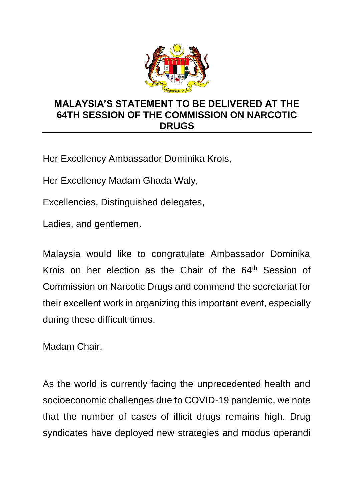

## **MALAYSIA'S STATEMENT TO BE DELIVERED AT THE 64TH SESSION OF THE COMMISSION ON NARCOTIC DRUGS**

Her Excellency Ambassador Dominika Krois,

Her Excellency Madam Ghada Waly,

Excellencies, Distinguished delegates,

Ladies, and gentlemen.

Malaysia would like to congratulate Ambassador Dominika Krois on her election as the Chair of the 64<sup>th</sup> Session of Commission on Narcotic Drugs and commend the secretariat for their excellent work in organizing this important event, especially during these difficult times.

Madam Chair,

As the world is currently facing the unprecedented health and socioeconomic challenges due to COVID-19 pandemic, we note that the number of cases of illicit drugs remains high. Drug syndicates have deployed new strategies and modus operandi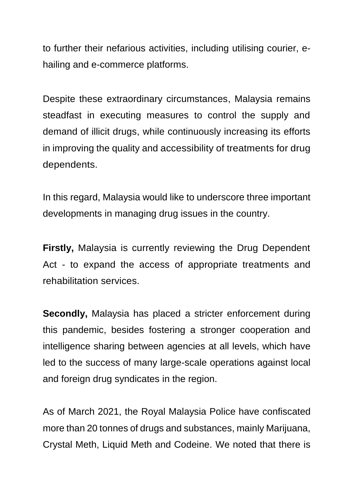to further their nefarious activities, including utilising courier, ehailing and e-commerce platforms.

Despite these extraordinary circumstances, Malaysia remains steadfast in executing measures to control the supply and demand of illicit drugs, while continuously increasing its efforts in improving the quality and accessibility of treatments for drug dependents.

In this regard, Malaysia would like to underscore three important developments in managing drug issues in the country.

**Firstly,** Malaysia is currently reviewing the Drug Dependent Act - to expand the access of appropriate treatments and rehabilitation services.

**Secondly,** Malaysia has placed a stricter enforcement during this pandemic, besides fostering a stronger cooperation and intelligence sharing between agencies at all levels, which have led to the success of many large-scale operations against local and foreign drug syndicates in the region.

As of March 2021, the Royal Malaysia Police have confiscated more than 20 tonnes of drugs and substances, mainly Marijuana, Crystal Meth, Liquid Meth and Codeine. We noted that there is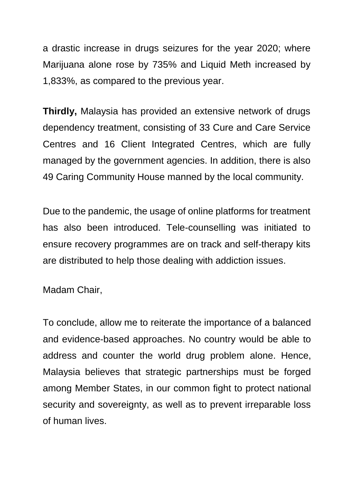a drastic increase in drugs seizures for the year 2020; where Marijuana alone rose by 735% and Liquid Meth increased by 1,833%, as compared to the previous year.

**Thirdly,** Malaysia has provided an extensive network of drugs dependency treatment, consisting of 33 Cure and Care Service Centres and 16 Client Integrated Centres, which are fully managed by the government agencies. In addition, there is also 49 Caring Community House manned by the local community.

Due to the pandemic, the usage of online platforms for treatment has also been introduced. Tele-counselling was initiated to ensure recovery programmes are on track and self-therapy kits are distributed to help those dealing with addiction issues.

Madam Chair,

To conclude, allow me to reiterate the importance of a balanced and evidence-based approaches. No country would be able to address and counter the world drug problem alone. Hence, Malaysia believes that strategic partnerships must be forged among Member States, in our common fight to protect national security and sovereignty, as well as to prevent irreparable loss of human lives.